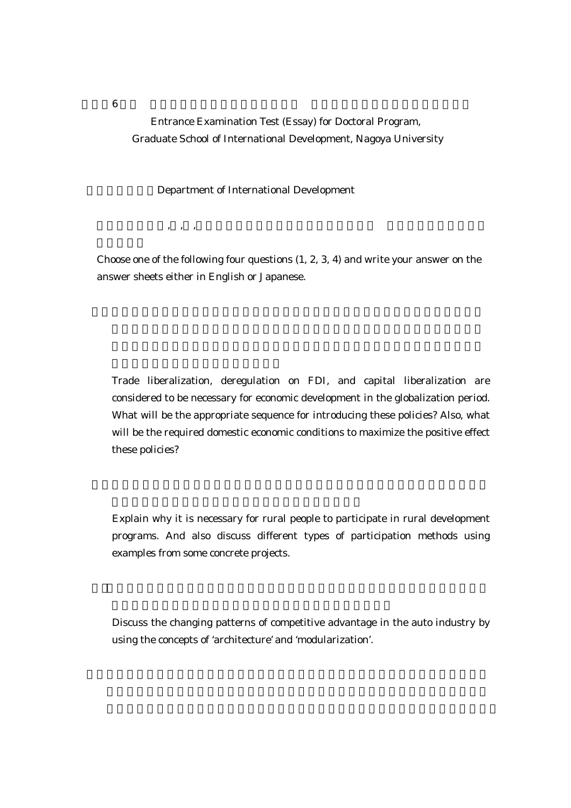Entrance Examination Test (Essay) for Doctoral Program, Graduate School of International Development, Nagoya University

## Department of International Development

 $\,$  , , , ,

 Choose one of the following four questions (1, 2, 3, 4) and write your answer on the answer sheets either in English or Japanese.

Trade liberalization, deregulation on FDI, and capital liberalization are considered to be necessary for economic development in the globalization period. What will be the appropriate sequence for introducing these policies? Also, what will be the required domestic economic conditions to maximize the positive effect these policies?

 Explain why it is necessary for rural people to participate in rural development programs. And also discuss different types of participation methods using examples from some concrete projects.

 Discuss the changing patterns of competitive advantage in the auto industry by using the concepts of 'architecture' and 'modularization'.

 $6$